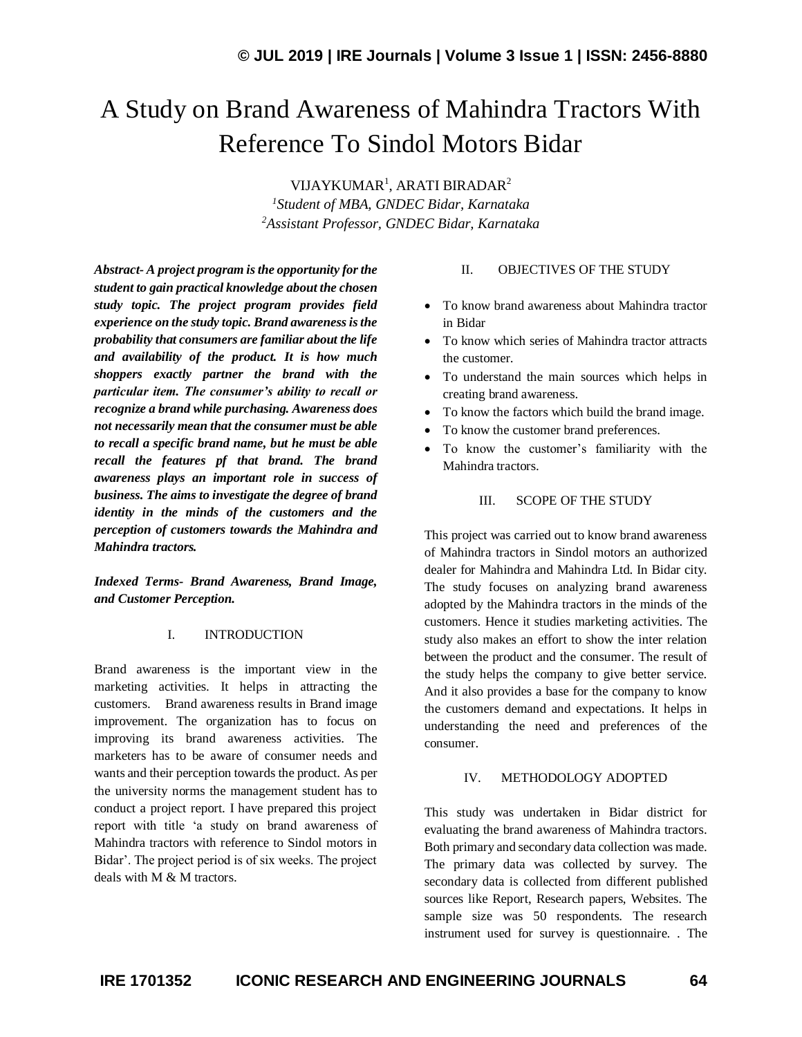# A Study on Brand Awareness of Mahindra Tractors With Reference To Sindol Motors Bidar

VIJAYKUMAR<sup>1</sup>, ARATI BIRADAR<sup>2</sup> *<sup>1</sup>Student of MBA, GNDEC Bidar, Karnataka <sup>2</sup>Assistant Professor, GNDEC Bidar, Karnataka*

*Abstract- A project program is the opportunity for the student to gain practical knowledge about the chosen study topic. The project program provides field experience on the study topic. Brand awareness is the probability that consumers are familiar about the life and availability of the product. It is how much shoppers exactly partner the brand with the particular item. The consumer's ability to recall or recognize a brand while purchasing. Awareness does not necessarily mean that the consumer must be able to recall a specific brand name, but he must be able recall the features pf that brand. The brand awareness plays an important role in success of business. The aims to investigate the degree of brand identity in the minds of the customers and the perception of customers towards the Mahindra and Mahindra tractors.*

*Indexed Terms- Brand Awareness, Brand Image, and Customer Perception.*

## I. INTRODUCTION

Brand awareness is the important view in the marketing activities. It helps in attracting the customers. Brand awareness results in Brand image improvement. The organization has to focus on improving its brand awareness activities. The marketers has to be aware of consumer needs and wants and their perception towards the product. As per the university norms the management student has to conduct a project report. I have prepared this project report with title 'a study on brand awareness of Mahindra tractors with reference to Sindol motors in Bidar'. The project period is of six weeks. The project deals with M & M tractors.

## II. OBJECTIVES OF THE STUDY

- To know brand awareness about Mahindra tractor in Bidar
- To know which series of Mahindra tractor attracts the customer.
- To understand the main sources which helps in creating brand awareness.
- To know the factors which build the brand image.
- To know the customer brand preferences.
- To know the customer's familiarity with the Mahindra tractors.

## III. SCOPE OF THE STUDY

This project was carried out to know brand awareness of Mahindra tractors in Sindol motors an authorized dealer for Mahindra and Mahindra Ltd. In Bidar city. The study focuses on analyzing brand awareness adopted by the Mahindra tractors in the minds of the customers. Hence it studies marketing activities. The study also makes an effort to show the inter relation between the product and the consumer. The result of the study helps the company to give better service. And it also provides a base for the company to know the customers demand and expectations. It helps in understanding the need and preferences of the consumer.

# IV. METHODOLOGY ADOPTED

This study was undertaken in Bidar district for evaluating the brand awareness of Mahindra tractors. Both primary and secondary data collection was made. The primary data was collected by survey. The secondary data is collected from different published sources like Report, Research papers, Websites. The sample size was 50 respondents. The research instrument used for survey is questionnaire. . The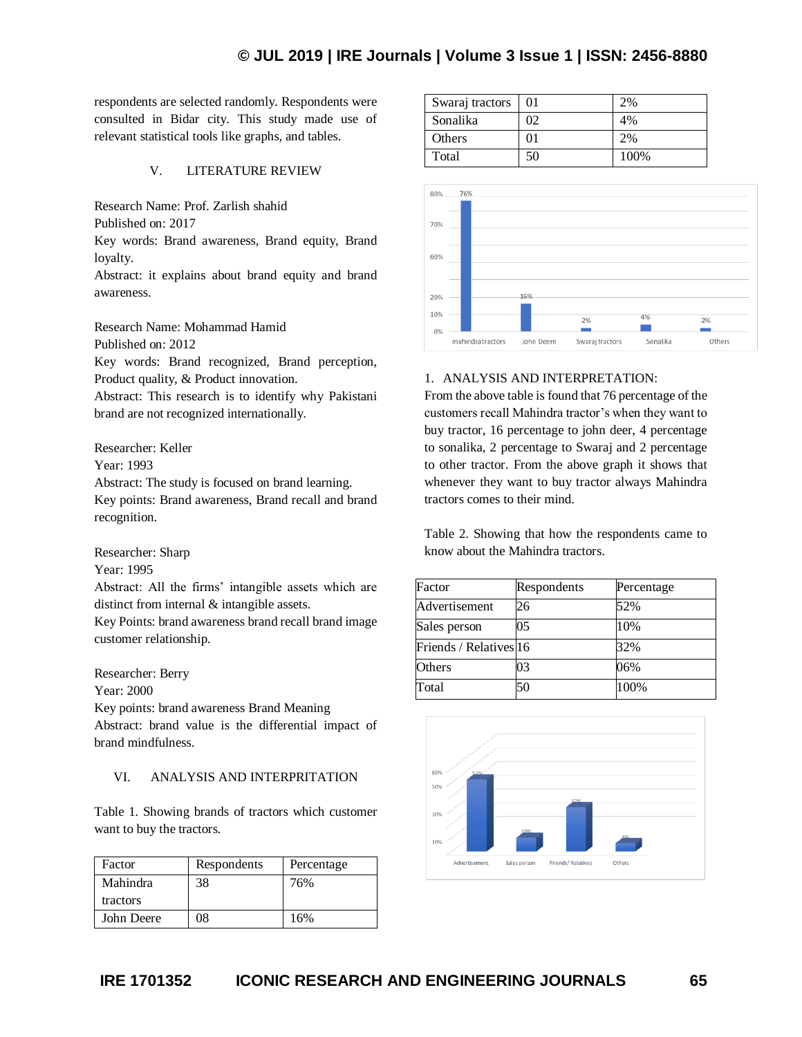respondents are selected randomly. Respondents were consulted in Bidar city. This study made use of relevant statistical tools like graphs, and tables.

# V. LITERATURE REVIEW

Research Name: Prof. Zarlish shahid

Published on: 2017

Key words: Brand awareness, Brand equity, Brand loyalty.

Abstract: it explains about brand equity and brand awareness.

Research Name: Mohammad Hamid Published on: 2012 Key words: Brand recognized, Brand perception,

Product quality, & Product innovation.

Abstract: This research is to identify why Pakistani brand are not recognized internationally.

Researcher: Keller

Year: 1993

Abstract: The study is focused on brand learning. Key points: Brand awareness, Brand recall and brand recognition.

Researcher: Sharp

Year: 1995

Abstract: All the firms' intangible assets which are distinct from internal & intangible assets.

Key Points: brand awareness brand recall brand image customer relationship.

Researcher: Berry

Year: 2000

Key points: brand awareness Brand Meaning

Abstract: brand value is the differential impact of brand mindfulness.

# VI. ANALYSIS AND INTERPRITATION

Table 1. Showing brands of tractors which customer want to buy the tractors.

| Factor     | Respondents | Percentage |
|------------|-------------|------------|
| Mahindra   | 38          | 76%        |
| tractors   |             |            |
| John Deere | 08          | 16%        |

| Swaraj tractors | 01 | 2%   |
|-----------------|----|------|
| Sonalika        | 02 | 4%   |
| Others          | 01 | 2%   |
| Total           | 50 | 100% |



# 1. ANALYSIS AND INTERPRETATION:

From the above table is found that 76 percentage of the customers recall Mahindra tractor's when they want to buy tractor, 16 percentage to john deer, 4 percentage to sonalika, 2 percentage to Swaraj and 2 percentage to other tractor. From the above graph it shows that whenever they want to buy tractor always Mahindra tractors comes to their mind.

Table 2. Showing that how the respondents came to know about the Mahindra tractors.

| Factor                 | Respondents | Percentage |
|------------------------|-------------|------------|
| Advertisement          | 26          | 52%        |
| Sales person           | 05          | 10%        |
| Friends / Relatives 16 |             | 32%        |
| Others                 | 03          | 06%        |
| Total                  | 50          | 100%       |

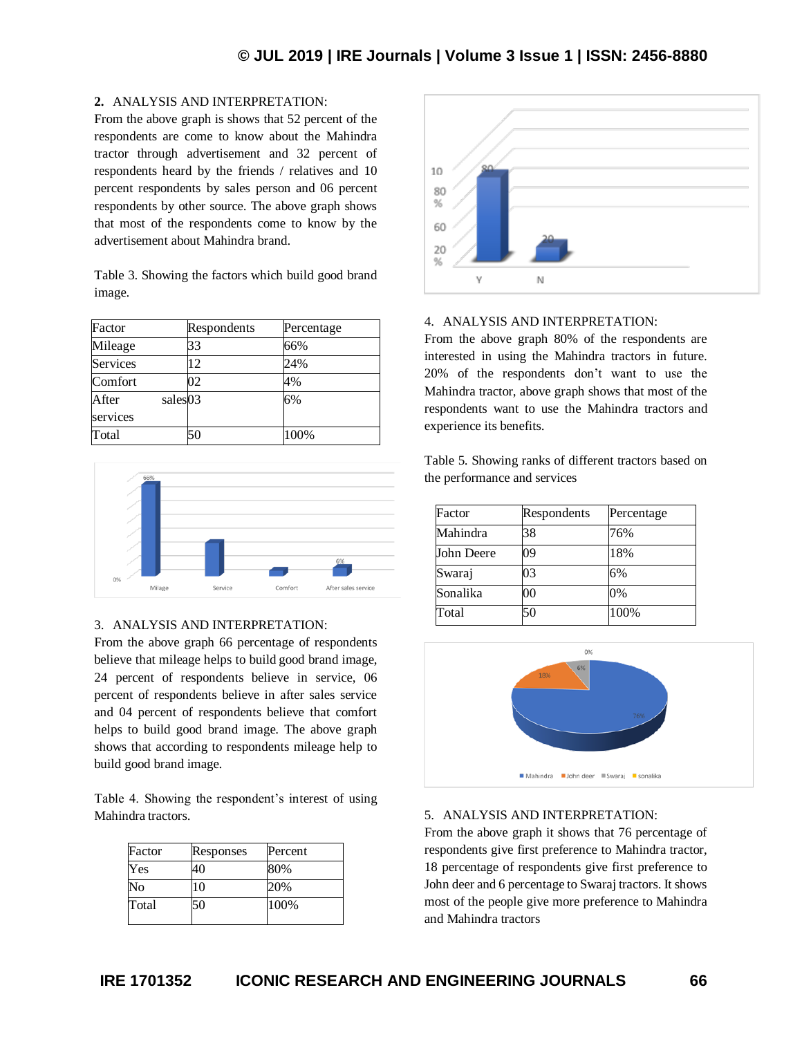# **2.** ANALYSIS AND INTERPRETATION:

From the above graph is shows that 52 percent of the respondents are come to know about the Mahindra tractor through advertisement and 32 percent of respondents heard by the friends / relatives and 10 percent respondents by sales person and 06 percent respondents by other source. The above graph shows that most of the respondents come to know by the advertisement about Mahindra brand.

Table 3. Showing the factors which build good brand image.

| Factor                       | Respondents | Percentage |
|------------------------------|-------------|------------|
| Mileage                      | 33          | 66%        |
| <b>Services</b>              | 12          | 24%        |
| Comfort                      | 02          | 4%         |
| After<br>sales03<br>services |             | 6%         |
| Total                        | 50          | 100%       |



### 3. ANALYSIS AND INTERPRETATION:

From the above graph 66 percentage of respondents believe that mileage helps to build good brand image, 24 percent of respondents believe in service, 06 percent of respondents believe in after sales service and 04 percent of respondents believe that comfort helps to build good brand image. The above graph shows that according to respondents mileage help to build good brand image.

Table 4. Showing the respondent's interest of using Mahindra tractors.

| Factor | Responses | Percent |
|--------|-----------|---------|
| Yes    | 40        | 80%     |
| No     | 10        | 20%     |
| Total  | 50        | 100%    |



### 4. ANALYSIS AND INTERPRETATION:

From the above graph 80% of the respondents are interested in using the Mahindra tractors in future. 20% of the respondents don't want to use the Mahindra tractor, above graph shows that most of the respondents want to use the Mahindra tractors and experience its benefits.

Table 5. Showing ranks of different tractors based on the performance and services

| Factor     | Respondents | Percentage |
|------------|-------------|------------|
| Mahindra   | 38          | 76%        |
| John Deere | 09          | 18%        |
| Swaraj     | 03          | 6%         |
| Sonalika   | 00          | 0%         |
| Total      | 50          | 100%       |



### 5. ANALYSIS AND INTERPRETATION:

From the above graph it shows that 76 percentage of respondents give first preference to Mahindra tractor, 18 percentage of respondents give first preference to John deer and 6 percentage to Swaraj tractors. It shows most of the people give more preference to Mahindra and Mahindra tractors